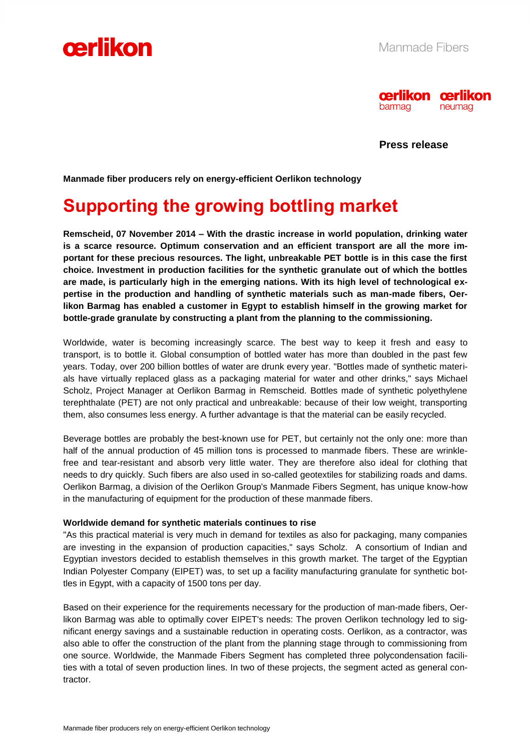



**Press release**

**Manmade fiber producers rely on energy-efficient Oerlikon technology**

## **Supporting the growing bottling market**

**Remscheid, 07 November 2014 – With the drastic increase in world population, drinking water is a scarce resource. Optimum conservation and an efficient transport are all the more important for these precious resources. The light, unbreakable PET bottle is in this case the first choice. Investment in production facilities for the synthetic granulate out of which the bottles are made, is particularly high in the emerging nations. With its high level of technological expertise in the production and handling of synthetic materials such as man-made fibers, Oerlikon Barmag has enabled a customer in Egypt to establish himself in the growing market for bottle-grade granulate by constructing a plant from the planning to the commissioning.**

Worldwide, water is becoming increasingly scarce. The best way to keep it fresh and easy to transport, is to bottle it. Global consumption of bottled water has more than doubled in the past few years. Today, over 200 billion bottles of water are drunk every year. "Bottles made of synthetic materials have virtually replaced glass as a packaging material for water and other drinks," says Michael Scholz, Project Manager at Oerlikon Barmag in Remscheid. Bottles made of synthetic polyethylene terephthalate (PET) are not only practical and unbreakable: because of their low weight, transporting them, also consumes less energy. A further advantage is that the material can be easily recycled.

Beverage bottles are probably the best-known use for PET, but certainly not the only one: more than half of the annual production of 45 million tons is processed to manmade fibers. These are wrinklefree and tear-resistant and absorb very little water. They are therefore also ideal for clothing that needs to dry quickly. Such fibers are also used in so-called geotextiles for stabilizing roads and dams. Oerlikon Barmag, a division of the Oerlikon Group's Manmade Fibers Segment, has unique know-how in the manufacturing of equipment for the production of these manmade fibers.

#### **Worldwide demand for synthetic materials continues to rise**

"As this practical material is very much in demand for textiles as also for packaging, many companies are investing in the expansion of production capacities," says Scholz. A consortium of Indian and Egyptian investors decided to establish themselves in this growth market. The target of the Egyptian Indian Polyester Company (EIPET) was, to set up a facility manufacturing granulate for synthetic bottles in Egypt, with a capacity of 1500 tons per day.

Based on their experience for the requirements necessary for the production of man-made fibers, Oerlikon Barmag was able to optimally cover EIPET's needs: The proven Oerlikon technology led to significant energy savings and a sustainable reduction in operating costs. Oerlikon, as a contractor, was also able to offer the construction of the plant from the planning stage through to commissioning from one source. Worldwide, the Manmade Fibers Segment has completed three polycondensation facilities with a total of seven production lines. In two of these projects, the segment acted as general contractor.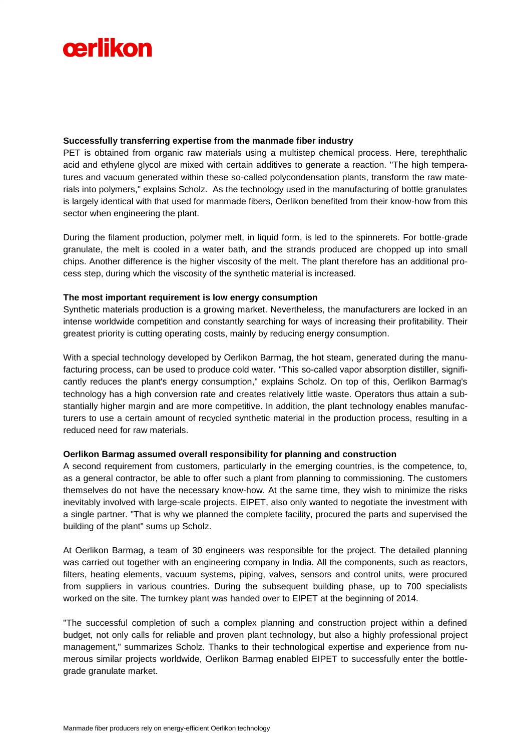# cerlikon

### **Successfully transferring expertise from the manmade fiber industry**

PET is obtained from organic raw materials using a multistep chemical process. Here, terephthalic acid and ethylene glycol are mixed with certain additives to generate a reaction. "The high temperatures and vacuum generated within these so-called polycondensation plants, transform the raw materials into polymers," explains Scholz. As the technology used in the manufacturing of bottle granulates is largely identical with that used for manmade fibers, Oerlikon benefited from their know-how from this sector when engineering the plant.

During the filament production, polymer melt, in liquid form, is led to the spinnerets. For bottle-grade granulate, the melt is cooled in a water bath, and the strands produced are chopped up into small chips. Another difference is the higher viscosity of the melt. The plant therefore has an additional process step, during which the viscosity of the synthetic material is increased.

#### **The most important requirement is low energy consumption**

Synthetic materials production is a growing market. Nevertheless, the manufacturers are locked in an intense worldwide competition and constantly searching for ways of increasing their profitability. Their greatest priority is cutting operating costs, mainly by reducing energy consumption.

With a special technology developed by Oerlikon Barmag, the hot steam, generated during the manufacturing process, can be used to produce cold water. "This so-called vapor absorption distiller, significantly reduces the plant's energy consumption," explains Scholz. On top of this, Oerlikon Barmag's technology has a high conversion rate and creates relatively little waste. Operators thus attain a substantially higher margin and are more competitive. In addition, the plant technology enables manufacturers to use a certain amount of recycled synthetic material in the production process, resulting in a reduced need for raw materials.

### **Oerlikon Barmag assumed overall responsibility for planning and construction**

A second requirement from customers, particularly in the emerging countries, is the competence, to, as a general contractor, be able to offer such a plant from planning to commissioning. The customers themselves do not have the necessary know-how. At the same time, they wish to minimize the risks inevitably involved with large-scale projects. EIPET, also only wanted to negotiate the investment with a single partner. "That is why we planned the complete facility, procured the parts and supervised the building of the plant" sums up Scholz.

At Oerlikon Barmag, a team of 30 engineers was responsible for the project. The detailed planning was carried out together with an engineering company in India. All the components, such as reactors, filters, heating elements, vacuum systems, piping, valves, sensors and control units, were procured from suppliers in various countries. During the subsequent building phase, up to 700 specialists worked on the site. The turnkey plant was handed over to EIPET at the beginning of 2014.

"The successful completion of such a complex planning and construction project within a defined budget, not only calls for reliable and proven plant technology, but also a highly professional project management," summarizes Scholz. Thanks to their technological expertise and experience from numerous similar projects worldwide, Oerlikon Barmag enabled EIPET to successfully enter the bottlegrade granulate market.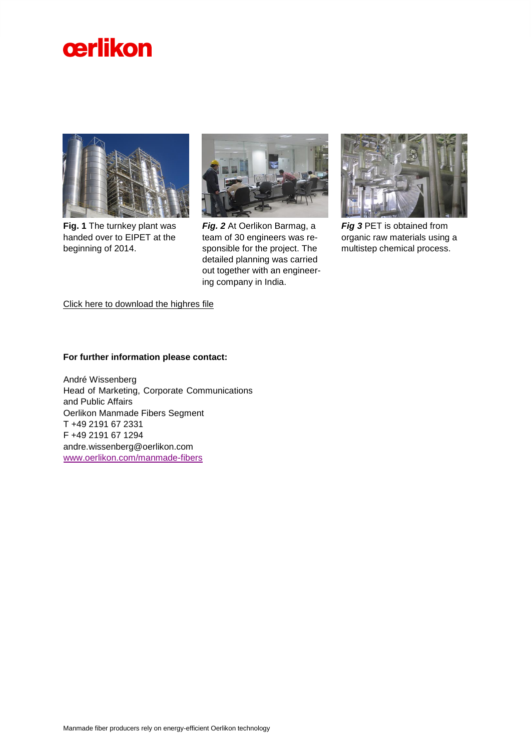



**Fig. 1** The turnkey plant was handed over to EIPET at the beginning of 2014.



*Fig. 2* At Oerlikon Barmag, a team of 30 engineers was responsible for the project. The detailed planning was carried out together with an engineering company in India.



*Fig 3* PET is obtained from organic raw materials using a multistep chemical process.

[Click here to download the highres file](http://www.oerlikon.com/manmade-fibers/en/media/news/)

**For further information please contact:**

André Wissenberg Head of Marketing, Corporate Communications and Public Affairs Oerlikon Manmade Fibers Segment T +49 2191 67 2331 F +49 2191 67 1294 andre.wissenberg@oerlikon.com [www.oerlikon.com/manmade-fibers](http://www.oerlikon.com/manmade-fibers)